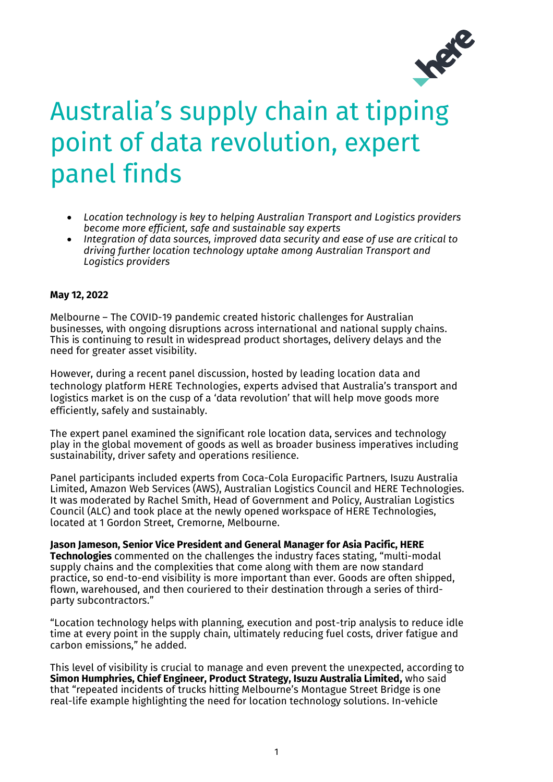

# Australia's supply chain at tipping point of data revolution, expert panel finds

- *Location technology is key to helping Australian Transport and Logistics providers become more efficient, safe and sustainable say experts*
- *Integration of data sources, improved data security and ease of use are critical to driving further location technology uptake among Australian Transport and Logistics providers*

# **May 12, 2022**

Melbourne – The COVID-19 pandemic created historic challenges for Australian businesses, with ongoing disruptions across international and national supply chains. This is continuing to result in widespread product shortages, delivery delays and the need for greater asset visibility.

However, during a recent panel discussion, hosted by leading location data and technology platform HERE Technologies, experts advised that Australia's transport and logistics market is on the cusp of a 'data revolution' that will help move goods more efficiently, safely and sustainably.

The expert panel examined the significant role location data, services and technology play in the global movement of goods as well as broader business imperatives including sustainability, driver safety and operations resilience.

Panel participants included experts from Coca-Cola Europacific Partners, Isuzu Australia Limited, Amazon Web Services (AWS), Australian Logistics Council and HERE Technologies. It was moderated by Rachel Smith, Head of Government and Policy, Australian Logistics Council (ALC) and took place at the newly opened workspace of HERE Technologies, located at 1 Gordon Street, Cremorne, Melbourne.

**Jason Jameson, Senior Vice President and General Manager for Asia Pacific, HERE Technologies** commented on the challenges the industry faces stating, "multi-modal supply chains and the complexities that come along with them are now standard practice, so end-to-end visibility is more important than ever. Goods are often shipped, flown, warehoused, and then couriered to their destination through a series of thirdparty subcontractors."

"Location technology helps with planning, execution and post-trip analysis to reduce idle time at every point in the supply chain, ultimately reducing fuel costs, driver fatigue and carbon emissions," he added.

This level of visibility is crucial to manage and even prevent the unexpected, according to **Simon Humphries, Chief Engineer, Product Strategy, Isuzu Australia Limited,** who said that "repeated incidents of trucks hitting Melbourne's Montague Street Bridge is one real-life example highlighting the need for location technology solutions. In-vehicle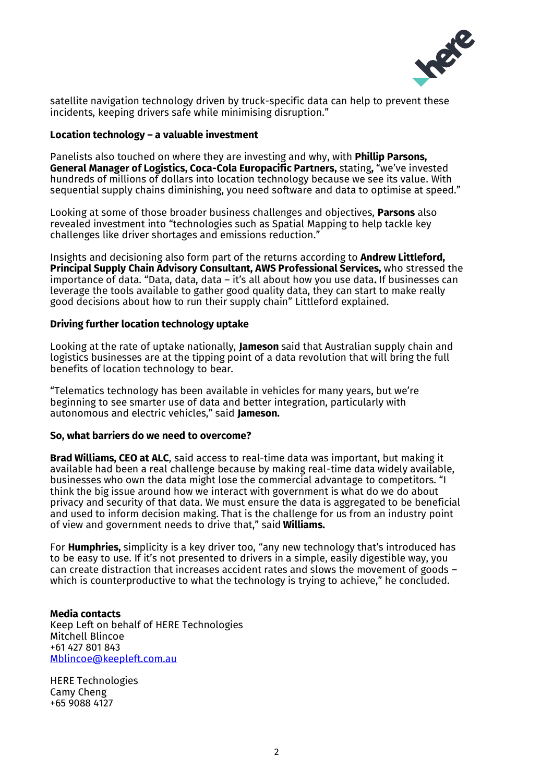

satellite navigation technology driven by truck-specific data can help to prevent these incidents, keeping drivers safe while minimising disruption."

#### **Location technology – a valuable investment**

Panelists also touched on where they are investing and why, with **Phillip Parsons, General Manager of Logistics, Coca-Cola Europacific Partners,** stating**,** "we've invested hundreds of millions of dollars into location technology because we see its value. With sequential supply chains diminishing, you need software and data to optimise at speed."

Looking at some of those broader business challenges and objectives, **Parsons** also revealed investment into "technologies such as Spatial Mapping to help tackle key challenges like driver shortages and emissions reduction."

Insights and decisioning also form part of the returns according to **Andrew Littleford, Principal Supply Chain Advisory Consultant, AWS Professional Services,** who stressed the importance of data. "Data, data, data – it's all about how you use data**.** If businesses can leverage the tools available to gather good quality data, they can start to make really good decisions about how to run their supply chain" Littleford explained.

## **Driving further location technology uptake**

Looking at the rate of uptake nationally, **Jameson** said that Australian supply chain and logistics businesses are at the tipping point of a data revolution that will bring the full benefits of location technology to bear.

"Telematics technology has been available in vehicles for many years, but we're beginning to see smarter use of data and better integration, particularly with autonomous and electric vehicles," said **Jameson.**

#### **So, what barriers do we need to overcome?**

**Brad Williams, CEO at ALC**, said access to real-time data was important, but making it available had been a real challenge because by making real-time data widely available, businesses who own the data might lose the commercial advantage to competitors. "I think the big issue around how we interact with government is what do we do about privacy and security of that data. We must ensure the data is aggregated to be beneficial and used to inform decision making. That is the challenge for us from an industry point of view and government needs to drive that," said **Williams.**

For **Humphries,** simplicity is a key driver too, "any new technology that's introduced has to be easy to use. If it's not presented to drivers in a simple, easily digestible way, you can create distraction that increases accident rates and slows the movement of goods – which is counterproductive to what the technology is trying to achieve," he concluded.

# **Media contacts**

Keep Left on behalf of HERE Technologies Mitchell Blincoe +61 427 801 843 [Mblincoe@keepleft.com.au](mailto:Mblincoe@keepleft.com.au)

HERE Technologies Camy Cheng +65 9088 4127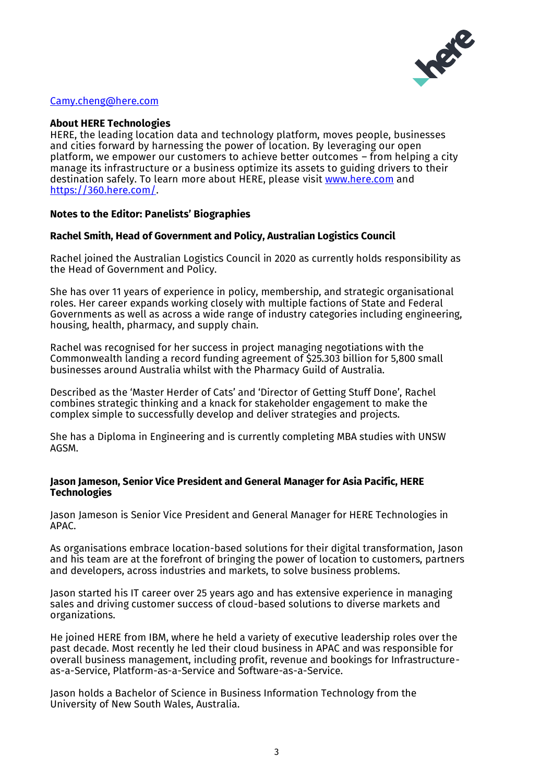

# [Camy.cheng@here.com](mailto:Camy.cheng@here.com)

## **About HERE Technologies**

HERE, the leading location data and technology platform, moves people, businesses and cities forward by harnessing the power of location. By leveraging our open platform, we empower our customers to achieve better outcomes – from helping a city manage its infrastructure or a business optimize its assets to guiding drivers to their destination safely. To learn more about HERE, please visit [www.here.com](http://www.here.com/) and [https://360.here.com/.](https://360.here.com/)

## **Notes to the Editor: Panelists' Biographies**

## **Rachel Smith, Head of Government and Policy, Australian Logistics Council**

Rachel joined the Australian Logistics Council in 2020 as currently holds responsibility as the Head of Government and Policy.

She has over 11 years of experience in policy, membership, and strategic organisational roles. Her career expands working closely with multiple factions of State and Federal Governments as well as across a wide range of industry categories including engineering, housing, health, pharmacy, and supply chain.

Rachel was recognised for her success in project managing negotiations with the Commonwealth landing a record funding agreement of \$25.303 billion for 5,800 small businesses around Australia whilst with the Pharmacy Guild of Australia.

Described as the 'Master Herder of Cats' and 'Director of Getting Stuff Done', Rachel combines strategic thinking and a knack for stakeholder engagement to make the complex simple to successfully develop and deliver strategies and projects.

She has a Diploma in Engineering and is currently completing MBA studies with UNSW AGSM.

#### **Jason Jameson, Senior Vice President and General Manager for Asia Pacific, HERE Technologies**

Jason Jameson is Senior Vice President and General Manager for HERE Technologies in  $APAC$ .

As organisations embrace location-based solutions for their digital transformation, Jason and his team are at the forefront of bringing the power of location to customers, partners and developers, across industries and markets, to solve business problems.

Jason started his IT career over 25 years ago and has extensive experience in managing sales and driving customer success of cloud-based solutions to diverse markets and organizations.

He joined HERE from IBM, where he held a variety of executive leadership roles over the past decade. Most recently he led their cloud business in APAC and was responsible for overall business management, including profit, revenue and bookings for Infrastructureas-a-Service, Platform-as-a-Service and Software-as-a-Service.

Jason holds a Bachelor of Science in Business Information Technology from the University of New South Wales, Australia.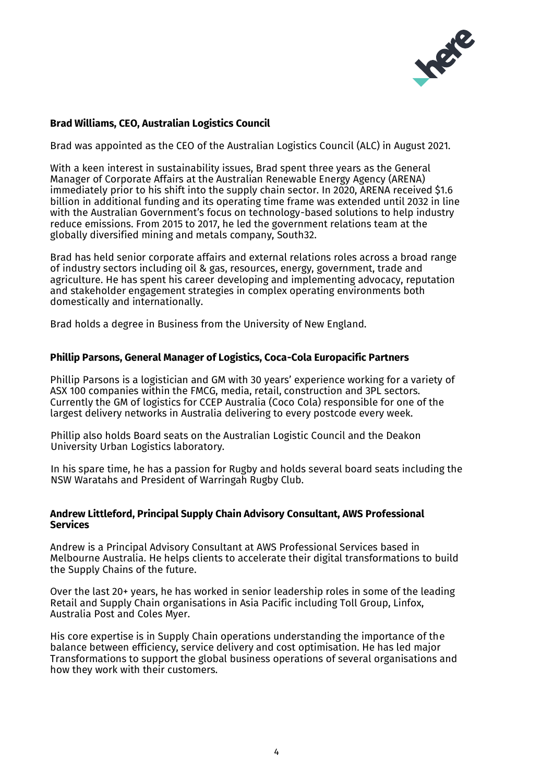

# **Brad Williams, CEO, Australian Logistics Council**

Brad was appointed as the CEO of the Australian Logistics Council (ALC) in August 2021.

With a keen interest in sustainability issues, Brad spent three years as the General Manager of Corporate Affairs at the Australian Renewable Energy Agency (ARENA) immediately prior to his shift into the supply chain sector. In 2020, ARENA received \$1.6 billion in additional funding and its operating time frame was extended until 2032 in line with the Australian Government's focus on technology-based solutions to help industry reduce emissions. From 2015 to 2017, he led the government relations team at the globally diversified mining and metals company, South32.

Brad has held senior corporate affairs and external relations roles across a broad range of industry sectors including oil & gas, resources, energy, government, trade and agriculture. He has spent his career developing and implementing advocacy, reputation and stakeholder engagement strategies in complex operating environments both domestically and internationally.

Brad holds a degree in Business from the University of New England.

## **Phillip Parsons, General Manager of Logistics, Coca-Cola Europacific Partners**

Phillip Parsons is a logistician and GM with 30 years' experience working for a variety of ASX 100 companies within the FMCG, media, retail, construction and 3PL sectors. Currently the GM of logistics for CCEP Australia (Coco Cola) responsible for one of the largest delivery networks in Australia delivering to every postcode every week.

Phillip also holds Board seats on the Australian Logistic Council and the Deakon University Urban Logistics laboratory.

In his spare time, he has a passion for Rugby and holds several board seats including the NSW Waratahs and President of Warringah Rugby Club.

#### **Andrew Littleford, Principal Supply Chain Advisory Consultant, AWS Professional Services**

Andrew is a Principal Advisory Consultant at AWS Professional Services based in Melbourne Australia. He helps clients to accelerate their digital transformations to build the Supply Chains of the future.

Over the last 20+ years, he has worked in senior leadership roles in some of the leading Retail and Supply Chain organisations in Asia Pacific including Toll Group, Linfox, Australia Post and Coles Myer.

His core expertise is in Supply Chain operations understanding the importance of the balance between efficiency, service delivery and cost optimisation. He has led major Transformations to support the global business operations of several organisations and how they work with their customers.